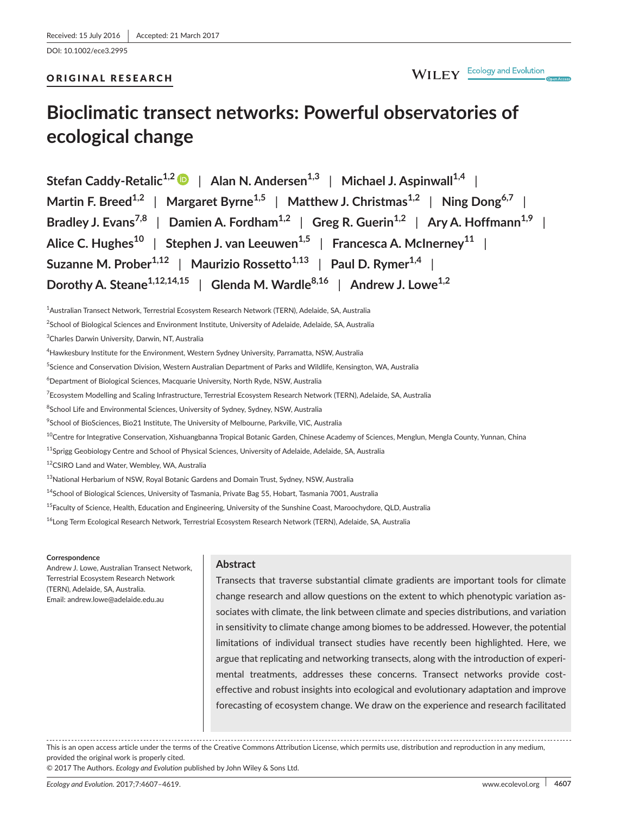DOI: 10.1002/ece3.2995

## ORIGINAL RESEARCH

# **Bioclimatic transect networks: Powerful observatories of ecological change**

**Stefan Caddy-Retalic1,[2](http://orcid.org/0000-0003-4870-4202)** | **Alan N. Andersen1,3** | **Michael J. Aspinwall1,4** | **Martin F. Breed1,2** | **Margaret Byrne1,5** | **Matthew J. Christmas1,2** | **Ning Dong6,7** | **Bradley J. Evans7,8** | **Damien A. Fordham1,2** | **Greg R. Guerin1,2** | **Ary A. Hoffmann1,9** | **Alice C. Hughes<sup>10</sup>** | **Stephen J. van Leeuwen1,5** | **Francesca A. McInerney<sup>11</sup>** | **Suzanne M. Prober1,12** | **Maurizio Rossetto1,13** | **Paul D. Rymer1,4** | **Dorothy A. Steane1,12,14,15** | **Glenda M. Wardle8,16** | **Andrew J. Lowe1,2**

1 Australian Transect Network, Terrestrial Ecosystem Research Network (TERN), Adelaide, SA, Australia

<sup>2</sup>School of Biological Sciences and Environment Institute, University of Adelaide, Adelaide, SA, Australia

3 Charles Darwin University, Darwin, NT, Australia

<sup>5</sup>Science and Conservation Division, Western Australian Department of Parks and Wildlife, Kensington, WA, Australia

 $^6$ Department of Biological Sciences, Macquarie University, North Ryde, NSW, Australia

<sup>7</sup>Ecosystem Modelling and Scaling Infrastructure, Terrestrial Ecosystem Research Network (TERN), Adelaide, SA, Australia

 $^8$ School Life and Environmental Sciences, University of Sydney, Sydney, NSW, Australia

 $^9$ School of BioSciences, Bio21 Institute, The University of Melbourne, Parkville, VIC, Australia

<sup>10</sup>Centre for Integrative Conservation, Xishuangbanna Tropical Botanic Garden, Chinese Academy of Sciences, Menglun, Mengla County, Yunnan, China

<sup>11</sup>Sprigg Geobiology Centre and School of Physical Sciences, University of Adelaide, Adelaide, SA, Australia

<sup>12</sup>CSIRO Land and Water, Wembley, WA, Australia

<sup>13</sup>National Herbarium of NSW, Royal Botanic Gardens and Domain Trust, Sydney, NSW, Australia

<sup>14</sup>School of Biological Sciences, University of Tasmania, Private Bag 55, Hobart, Tasmania 7001, Australia

<sup>15</sup>Faculty of Science, Health, Education and Engineering, University of the Sunshine Coast, Maroochydore, QLD, Australia

<sup>16</sup>Long Term Ecological Research Network, Terrestrial Ecosystem Research Network (TERN), Adelaide, SA, Australia

#### **Correspondence**

Andrew J. Lowe, Australian Transect Network, Terrestrial Ecosystem Research Network (TERN), Adelaide, SA, Australia. Email: [andrew.lowe@adelaide.edu.au](mailto:andrew.lowe@adelaide.edu.au)

### **Abstract**

Transects that traverse substantial climate gradients are important tools for climate change research and allow questions on the extent to which phenotypic variation associates with climate, the link between climate and species distributions, and variation in sensitivity to climate change among biomes to be addressed. However, the potential limitations of individual transect studies have recently been highlighted. Here, we argue that replicating and networking transects, along with the introduction of experimental treatments, addresses these concerns. Transect networks provide costeffective and robust insights into ecological and evolutionary adaptation and improve forecasting of ecosystem change. We draw on the experience and research facilitated

This is an open access article under the terms of the Creative Commons [Attribution](http://creativecommons.org/licenses/by/4.0/) License, which permits use, distribution and reproduction in any medium, provided the original work is properly cited.

© 2017 The Authors. *Ecology and Evolution* published by John Wiley & Sons Ltd.

 $^4$ Hawkesbury Institute for the Environment, Western Sydney University, Parramatta, NSW, Australia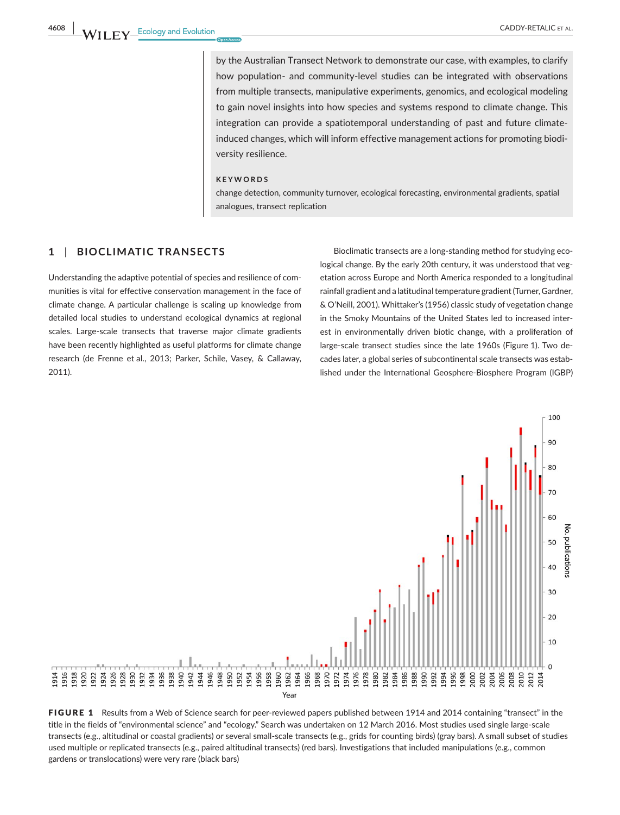by the Australian Transect Network to demonstrate our case, with examples, to clarify how population- and community-level studies can be integrated with observations from multiple transects, manipulative experiments, genomics, and ecological modeling to gain novel insights into how species and systems respond to climate change. This integration can provide a spatiotemporal understanding of past and future climateinduced changes, which will inform effective management actions for promoting biodiversity resilience.

#### **KEYWORDS**

change detection, community turnover, ecological forecasting, environmental gradients, spatial analogues, transect replication

## **1** | **BIOCLIMATIC TRANSECTS**

Understanding the adaptive potential of species and resilience of communities is vital for effective conservation management in the face of climate change. A particular challenge is scaling up knowledge from detailed local studies to understand ecological dynamics at regional scales. Large-scale transects that traverse major climate gradients have been recently highlighted as useful platforms for climate change research (de Frenne et al., 2013; Parker, Schile, Vasey, & Callaway, 2011).

Bioclimatic transects are a long-standing method for studying ecological change. By the early 20th century, it was understood that vegetation across Europe and North America responded to a longitudinal rainfall gradient and a latitudinal temperature gradient (Turner, Gardner, & O'Neill, 2001). Whittaker's (1956) classic study of vegetation change in the Smoky Mountains of the United States led to increased interest in environmentally driven biotic change, with a proliferation of large-scale transect studies since the late 1960s (Figure 1). Two decades later, a global series of subcontinental scale transects was established under the International Geosphere-Biosphere Program (IGBP)



FIGURE 1 Results from a Web of Science search for peer-reviewed papers published between 1914 and 2014 containing "transect" in the title in the fields of "environmental science" and "ecology." Search was undertaken on 12 March 2016. Most studies used single large-scale transects (e.g., altitudinal or coastal gradients) or several small-scale transects (e.g., grids for counting birds) (gray bars). A small subset of studies used multiple or replicated transects (e.g., paired altitudinal transects) (red bars). Investigations that included manipulations (e.g., common gardens or translocations) were very rare (black bars)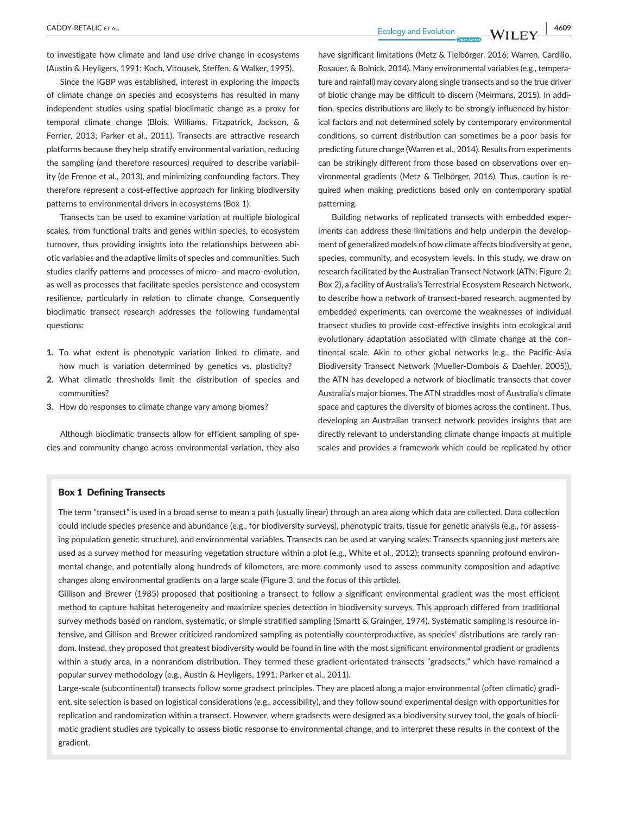**CADDY-RETALIC** ET AL. 4609

to investigate how climate and land use drive change in ecosystems (Austin & Heyligers, 1991; Koch, Vitousek, Steffen, & Walker, 1995).

Since the IGBP was established, interest in exploring the impacts of climate change on species and ecosystems has resulted in many independent studies using spatial bioclimatic change as a proxy for temporal climate change (Blois, Williams, Fitzpatrick, Jackson, & Ferrier, 2013; Parker et al., 2011). Transects are attractive research platforms because they help stratify environmental variation, reducing the sampling (and therefore resources) required to describe variability (de Frenne et al., 2013), and minimizing confounding factors. They therefore represent a cost-effective approach for linking biodiversity patterns to environmental drivers in ecosystems (Box 1).

Transects can be used to examine variation at multiple biological scales, from functional traits and genes within species, to ecosystem turnover, thus providing insights into the relationships between abiotic variables and the adaptive limits of species and communities. Such studies clarify patterns and processes of micro- and macro-evolution, as well as processes that facilitate species persistence and ecosystem resilience, particularly in relation to climate change. Consequently bioclimatic transect research addresses the following fundamental questions:

- **1.** To what extent is phenotypic variation linked to climate, and how much is variation determined by genetics vs. plasticity?
- **2.** What climatic thresholds limit the distribution of species and communities?
- **3.** How do responses to climate change vary among biomes?

Although bioclimatic transects allow for efficient sampling of species and community change across environmental variation, they also have significant limitations (Metz & Tielbörger, 2016; Warren, Cardillo, Rosauer, & Bolnick, 2014). Many environmental variables (e.g., temperature and rainfall) may covary along single transects and so the true driver of biotic change may be difficult to discern (Meirmans, 2015). In addition, species distributions are likely to be strongly influenced by historical factors and not determined solely by contemporary environmental conditions, so current distribution can sometimes be a poor basis for predicting future change (Warren et al., 2014). Results from experiments can be strikingly different from those based on observations over environmental gradients (Metz & Tielbörger, 2016). Thus, caution is required when making predictions based only on contemporary spatial patterning.

Building networks of replicated transects with embedded experiments can address these limitations and help underpin the development of generalized models of how climate affects biodiversity at gene, species, community, and ecosystem levels. In this study, we draw on research facilitated by the Australian Transect Network (ATN; Figure 2; Box 2), a facility of Australia's Terrestrial Ecosystem Research Network, to describe how a network of transect-based research, augmented by embedded experiments, can overcome the weaknesses of individual transect studies to provide cost-effective insights into ecological and evolutionary adaptation associated with climate change at the continental scale. Akin to other global networks (e.g., the Pacific-Asia Biodiversity Transect Network (Mueller-Dombois & Daehler, 2005)), the ATN has developed a network of bioclimatic transects that cover Australia's major biomes. The ATN straddles most of Australia's climate space and captures the diversity of biomes across the continent. Thus, developing an Australian transect network provides insights that are directly relevant to understanding climate change impacts at multiple scales and provides a framework which could be replicated by other

#### Box 1 Defining Transects

The term "transect" is used in a broad sense to mean a path (usually linear) through an area along which data are collected. Data collection could include species presence and abundance (e.g., for biodiversity surveys), phenotypic traits, tissue for genetic analysis (e.g., for assessing population genetic structure), and environmental variables. Transects can be used at varying scales: Transects spanning just meters are used as a survey method for measuring vegetation structure within a plot (e.g., White et al., 2012); transects spanning profound environmental change, and potentially along hundreds of kilometers, are more commonly used to assess community composition and adaptive changes along environmental gradients on a large scale (Figure 3, and the focus of this article).

Gillison and Brewer (1985) proposed that positioning a transect to follow a significant environmental gradient was the most efficient method to capture habitat heterogeneity and maximize species detection in biodiversity surveys. This approach differed from traditional survey methods based on random, systematic, or simple stratified sampling (Smartt & Grainger, 1974). Systematic sampling is resource intensive, and Gillison and Brewer criticized randomized sampling as potentially counterproductive, as species' distributions are rarely random. Instead, they proposed that greatest biodiversity would be found in line with the most significant environmental gradient or gradients within a study area, in a nonrandom distribution. They termed these gradient-orientated transects "gradsects," which have remained a popular survey methodology (e.g., Austin & Heyligers, 1991; Parker et al., 2011).

Large-scale (subcontinental) transects follow some gradsect principles. They are placed along a major environmental (often climatic) gradient, site selection is based on logistical considerations (e.g., accessibility), and they follow sound experimental design with opportunities for replication and randomization within a transect. However, where gradsects were designed as a biodiversity survey tool, the goals of bioclimatic gradient studies are typically to assess biotic response to environmental change, and to interpret these results in the context of the gradient.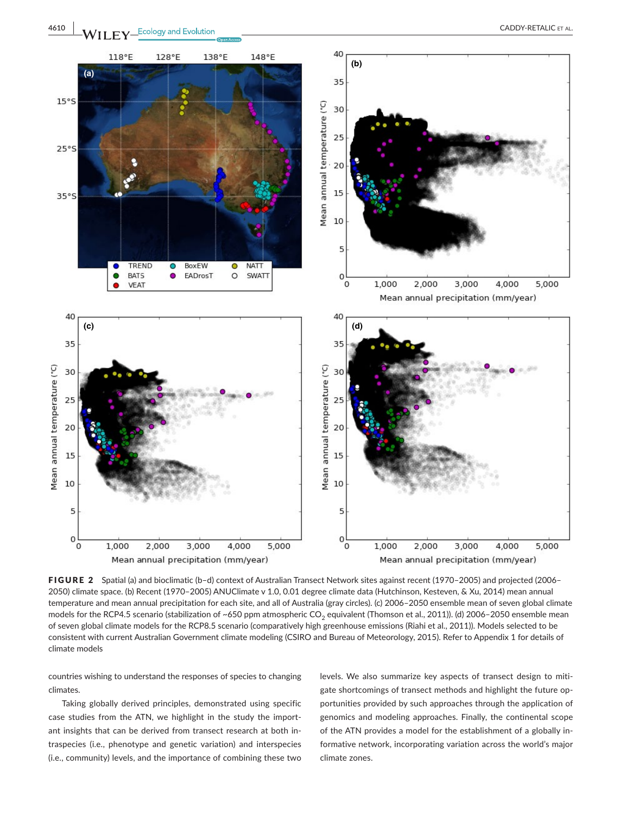

FIGURE 2 Spatial (a) and bioclimatic (b–d) context of Australian Transect Network sites against recent (1970–2005) and projected (2006– 2050) climate space. (b) Recent (1970–2005) ANUClimate v 1.0, 0.01 degree climate data (Hutchinson, Kesteven, & Xu, 2014) mean annual temperature and mean annual precipitation for each site, and all of Australia (gray circles). (c) 2006–2050 ensemble mean of seven global climate models for the RCP4.5 scenario (stabilization of ~650 ppm atmospheric CO<sub>2</sub> equivalent (Thomson et al., 2011)). (d) 2006-2050 ensemble mean of seven global climate models for the RCP8.5 scenario (comparatively high greenhouse emissions (Riahi et al., 2011)). Models selected to be consistent with current Australian Government climate modeling (CSIRO and Bureau of Meteorology, 2015). Refer to Appendix 1 for details of climate models

countries wishing to understand the responses of species to changing climates.

Taking globally derived principles, demonstrated using specific case studies from the ATN, we highlight in the study the important insights that can be derived from transect research at both intraspecies (i.e., phenotype and genetic variation) and interspecies (i.e., community) levels, and the importance of combining these two

levels. We also summarize key aspects of transect design to mitigate shortcomings of transect methods and highlight the future opportunities provided by such approaches through the application of genomics and modeling approaches. Finally, the continental scope of the ATN provides a model for the establishment of a globally informative network, incorporating variation across the world's major climate zones.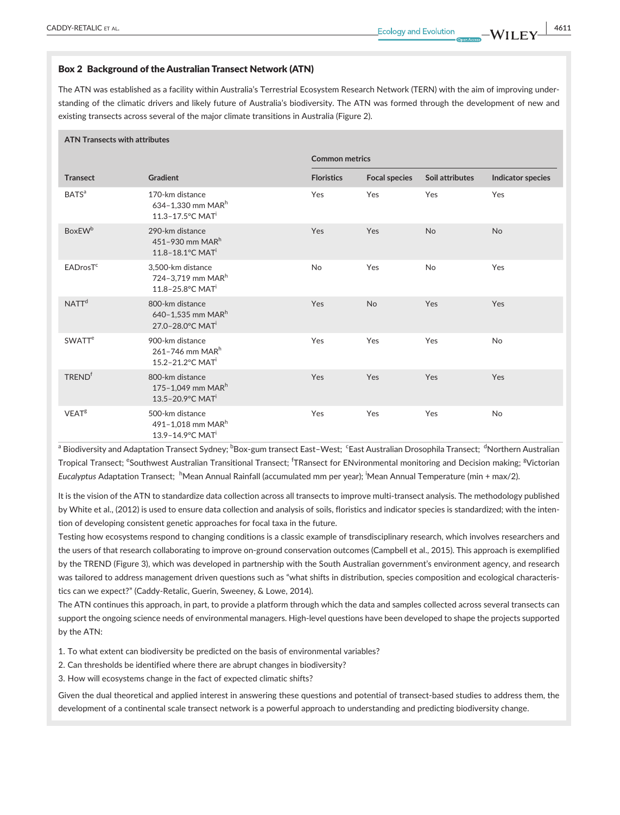#### Box 2 Background of the Australian Transect Network (ATN)

The ATN was established as a facility within Australia's Terrestrial Ecosystem Research Network (TERN) with the aim of improving understanding of the climatic drivers and likely future of Australia's biodiversity. The ATN was formed through the development of new and existing transects across several of the major climate transitions in Australia (Figure 2).

#### **ATN Transects with attributes**

|                           |                                                                                                   | <b>Common metrics</b> |                      |                 |                   |
|---------------------------|---------------------------------------------------------------------------------------------------|-----------------------|----------------------|-----------------|-------------------|
| <b>Transect</b>           | <b>Gradient</b>                                                                                   | <b>Floristics</b>     | <b>Focal species</b> | Soil attributes | Indicator species |
| <b>BATS</b> <sup>a</sup>  | 170-km distance<br>634-1,330 mm MAR <sup>h</sup><br>$11.3 - 17.5$ <sup>°</sup> C MAT <sup>i</sup> | Yes                   | Yes                  | Yes             | Yes               |
| <b>BoxEW</b> <sup>b</sup> | 290-km distance<br>451-930 mm $MARh$<br>$11.8 - 18.1$ <sup>o</sup> C MAT <sup>i</sup>             | Yes                   | Yes                  | <b>No</b>       | <b>No</b>         |
| EADrosT <sup>c</sup>      | 3,500-km distance<br>724-3,719 mm MAR <sup>h</sup><br>11.8-25.8°C MAT <sup>i</sup>                | No                    | Yes                  | <b>No</b>       | Yes               |
| NATT <sup>d</sup>         | 800-km distance<br>640-1,535 mm MAR <sup>h</sup><br>27.0-28.0°C MAT <sup>i</sup>                  | Yes                   | <b>No</b>            | Yes             | Yes               |
| <b>SWATT<sup>e</sup></b>  | 900-km distance<br>261-746 mm $MARh$<br>15.2-21.2°C MAT <sup>i</sup>                              | Yes                   | Yes                  | Yes             | <b>No</b>         |
| <b>TREND<sup>f</sup></b>  | 800-km distance<br>175-1,049 mm MAR <sup>h</sup><br>$13.5 - 20.9$ °C MAT <sup>i</sup>             | Yes                   | Yes                  | Yes             | Yes               |
| VEAT <sup>g</sup>         | 500-km distance<br>491-1,018 mm MAR <sup>h</sup><br>13.9-14.9°C MAT <sup>i</sup>                  | Yes                   | Yes                  | Yes             | <b>No</b>         |

<sup>a</sup> Biodiversity and Adaptation Transect Sydney; <sup>b</sup>Box-gum transect East–West; <sup>c</sup>East Australian Drosophila Transect; <sup>d</sup>Northern Australian Tropical Transect; <sup>e</sup>Southwest Australian Transitional Transect; <sup>'</sup>TRansect for ENvironmental monitoring and Decision making; <sup>g</sup>Victorian Euc*alyptus* Adaptation Transect; <sup>h</sup>Mean Annual Rainfall (accumulated mm per year); <sup>i</sup>Mean Annual Temperature (min + max/2).

It is the vision of the ATN to standardize data collection across all transects to improve multi-transect analysis. The methodology published by White et al., (2012) is used to ensure data collection and analysis of soils, floristics and indicator species is standardized; with the intention of developing consistent genetic approaches for focal taxa in the future.

Testing how ecosystems respond to changing conditions is a classic example of transdisciplinary research, which involves researchers and the users of that research collaborating to improve on-ground conservation outcomes (Campbell et al., 2015). This approach is exemplified by the TREND (Figure 3), which was developed in partnership with the South Australian government's environment agency, and research was tailored to address management driven questions such as "what shifts in distribution, species composition and ecological characteristics can we expect?" (Caddy-Retalic, Guerin, Sweeney, & Lowe, 2014).

The ATN continues this approach, in part, to provide a platform through which the data and samples collected across several transects can support the ongoing science needs of environmental managers. High-level questions have been developed to shape the projects supported by the ATN:

1. To what extent can biodiversity be predicted on the basis of environmental variables?

2. Can thresholds be identified where there are abrupt changes in biodiversity?

3. How will ecosystems change in the fact of expected climatic shifts?

Given the dual theoretical and applied interest in answering these questions and potential of transect-based studies to address them, the development of a continental scale transect network is a powerful approach to understanding and predicting biodiversity change.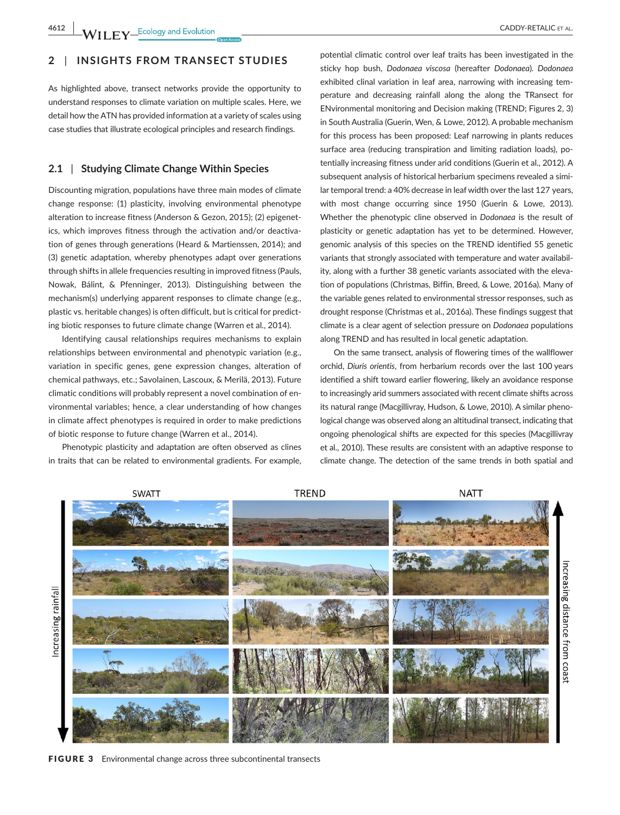# **2** | **INSIGHTS FROM TRANSECT STUDIES**

As highlighted above, transect networks provide the opportunity to understand responses to climate variation on multiple scales. Here, we detail how the ATN has provided information at a variety of scales using case studies that illustrate ecological principles and research findings.

## **2.1** | **Studying Climate Change Within Species**

Discounting migration, populations have three main modes of climate change response: (1) plasticity, involving environmental phenotype alteration to increase fitness (Anderson & Gezon, 2015); (2) epigenetics, which improves fitness through the activation and/or deactivation of genes through generations (Heard & Martienssen, 2014); and (3) genetic adaptation, whereby phenotypes adapt over generations through shifts in allele frequencies resulting in improved fitness (Pauls, Nowak, Bálint, & Pfenninger, 2013). Distinguishing between the mechanism(s) underlying apparent responses to climate change (e.g., plastic vs. heritable changes) is often difficult, but is critical for predicting biotic responses to future climate change (Warren et al., 2014).

Identifying causal relationships requires mechanisms to explain relationships between environmental and phenotypic variation (e.g., variation in specific genes, gene expression changes, alteration of chemical pathways, etc.; Savolainen, Lascoux, & Merilä, 2013). Future climatic conditions will probably represent a novel combination of environmental variables; hence, a clear understanding of how changes in climate affect phenotypes is required in order to make predictions of biotic response to future change (Warren et al., 2014).

Phenotypic plasticity and adaptation are often observed as clines in traits that can be related to environmental gradients. For example,

potential climatic control over leaf traits has been investigated in the sticky hop bush, *Dodonaea viscosa* (hereafter *Dodonaea*)*. Dodonaea* exhibited clinal variation in leaf area, narrowing with increasing temperature and decreasing rainfall along the along the TRansect for ENvironmental monitoring and Decision making (TREND; Figures 2, 3) in South Australia (Guerin, Wen, & Lowe, 2012). A probable mechanism for this process has been proposed: Leaf narrowing in plants reduces surface area (reducing transpiration and limiting radiation loads), potentially increasing fitness under arid conditions (Guerin et al., 2012). A subsequent analysis of historical herbarium specimens revealed a similar temporal trend: a 40% decrease in leaf width over the last 127 years, with most change occurring since 1950 (Guerin & Lowe, 2013). Whether the phenotypic cline observed in *Dodonaea* is the result of plasticity or genetic adaptation has yet to be determined. However, genomic analysis of this species on the TREND identified 55 genetic variants that strongly associated with temperature and water availability, along with a further 38 genetic variants associated with the elevation of populations (Christmas, Biffin, Breed, & Lowe, 2016a). Many of the variable genes related to environmental stressor responses, such as drought response (Christmas et al., 2016a). These findings suggest that climate is a clear agent of selection pressure on *Dodonaea* populations along TREND and has resulted in local genetic adaptation.

On the same transect, analysis of flowering times of the wallflower orchid, *Diuris orientis*, from herbarium records over the last 100 years identified a shift toward earlier flowering, likely an avoidance response to increasingly arid summers associated with recent climate shifts across its natural range (Macgillivray, Hudson, & Lowe, 2010). A similar phenological change was observed along an altitudinal transect, indicating that ongoing phenological shifts are expected for this species (Macgillivray et al., 2010). These results are consistent with an adaptive response to climate change. The detection of the same trends in both spatial and



FIGURE 3 Environmental change across three subcontinental transects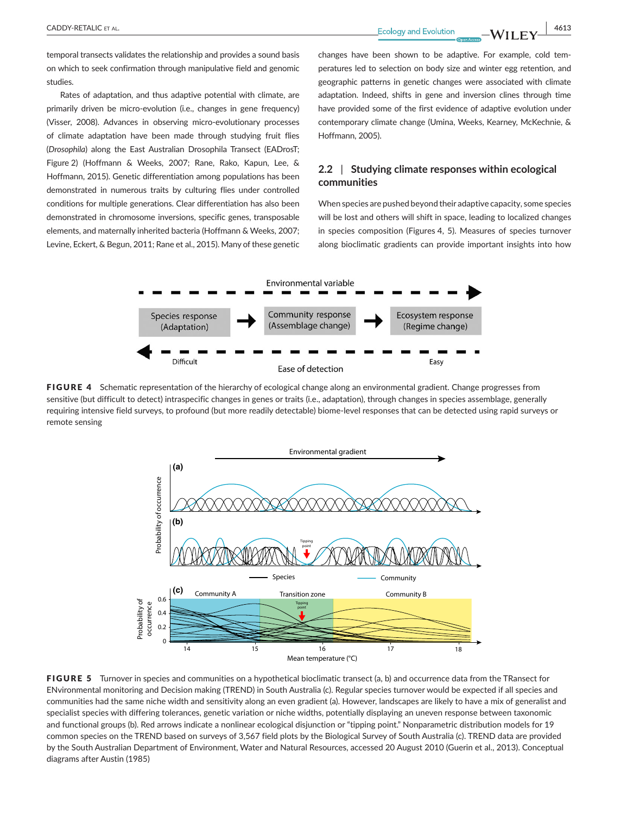**CADDY-RETALIC** ET AL. 4613

temporal transects validates the relationship and provides a sound basis on which to seek confirmation through manipulative field and genomic studies.

Rates of adaptation, and thus adaptive potential with climate, are primarily driven be micro-evolution (i.e., changes in gene frequency) (Visser, 2008). Advances in observing micro-evolutionary processes of climate adaptation have been made through studying fruit flies (*Drosophila*) along the East Australian Drosophila Transect (EADrosT; Figure 2) (Hoffmann & Weeks, 2007; Rane, Rako, Kapun, Lee, & Hoffmann, 2015). Genetic differentiation among populations has been demonstrated in numerous traits by culturing flies under controlled conditions for multiple generations. Clear differentiation has also been demonstrated in chromosome inversions, specific genes, transposable elements, and maternally inherited bacteria (Hoffmann & Weeks, 2007; Levine, Eckert, & Begun, 2011; Rane et al., 2015). Many of these genetic changes have been shown to be adaptive. For example, cold temperatures led to selection on body size and winter egg retention, and geographic patterns in genetic changes were associated with climate adaptation. Indeed, shifts in gene and inversion clines through time have provided some of the first evidence of adaptive evolution under contemporary climate change (Umina, Weeks, Kearney, McKechnie, & Hoffmann, 2005).

## **2.2** | **Studying climate responses within ecological communities**

When species are pushed beyond their adaptive capacity, some species will be lost and others will shift in space, leading to localized changes in species composition (Figures 4, 5). Measures of species turnover along bioclimatic gradients can provide important insights into how



FIGURE 4 Schematic representation of the hierarchy of ecological change along an environmental gradient. Change progresses from sensitive (but difficult to detect) intraspecific changes in genes or traits (i.e., adaptation), through changes in species assemblage, generally requiring intensive field surveys, to profound (but more readily detectable) biome-level responses that can be detected using rapid surveys or remote sensing



FIGURE 5 Turnover in species and communities on a hypothetical bioclimatic transect (a, b) and occurrence data from the TRansect for ENvironmental monitoring and Decision making (TREND) in South Australia (c). Regular species turnover would be expected if all species and communities had the same niche width and sensitivity along an even gradient (a). However, landscapes are likely to have a mix of generalist and specialist species with differing tolerances, genetic variation or niche widths, potentially displaying an uneven response between taxonomic and functional groups (b). Red arrows indicate a nonlinear ecological disjunction or "tipping point." Nonparametric distribution models for 19 common species on the TREND based on surveys of 3,567 field plots by the Biological Survey of South Australia (c). TREND data are provided by the South Australian Department of Environment, Water and Natural Resources, accessed 20 August 2010 (Guerin et al., 2013). Conceptual diagrams after Austin (1985)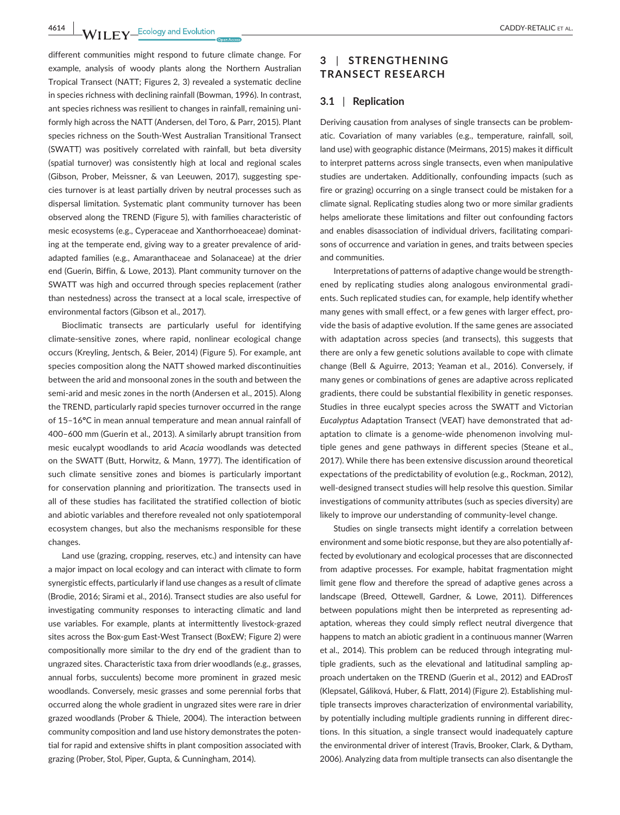**4614 |**  CADDY-RETALIC et al.

different communities might respond to future climate change. For example, analysis of woody plants along the Northern Australian Tropical Transect (NATT; Figures 2, 3) revealed a systematic decline in species richness with declining rainfall (Bowman, 1996). In contrast, ant species richness was resilient to changes in rainfall, remaining uniformly high across the NATT (Andersen, del Toro, & Parr, 2015). Plant species richness on the South-West Australian Transitional Transect (SWATT) was positively correlated with rainfall, but beta diversity (spatial turnover) was consistently high at local and regional scales (Gibson, Prober, Meissner, & van Leeuwen, 2017), suggesting species turnover is at least partially driven by neutral processes such as dispersal limitation. Systematic plant community turnover has been observed along the TREND (Figure 5), with families characteristic of mesic ecosystems (e.g., Cyperaceae and Xanthorrhoeaceae) dominating at the temperate end, giving way to a greater prevalence of aridadapted families (e.g., Amaranthaceae and Solanaceae) at the drier end (Guerin, Biffin, & Lowe, 2013). Plant community turnover on the SWATT was high and occurred through species replacement (rather than nestedness) across the transect at a local scale, irrespective of environmental factors (Gibson et al., 2017).

Bioclimatic transects are particularly useful for identifying climate-sensitive zones, where rapid, nonlinear ecological change occurs (Kreyling, Jentsch, & Beier, 2014) (Figure 5). For example, ant species composition along the NATT showed marked discontinuities between the arid and monsoonal zones in the south and between the semi-arid and mesic zones in the north (Andersen et al., 2015). Along the TREND, particularly rapid species turnover occurred in the range of 15–16**°**C in mean annual temperature and mean annual rainfall of 400–600 mm (Guerin et al., 2013). A similarly abrupt transition from mesic eucalypt woodlands to arid *Acacia* woodlands was detected on the SWATT (Butt, Horwitz, & Mann, 1977). The identification of such climate sensitive zones and biomes is particularly important for conservation planning and prioritization. The transects used in all of these studies has facilitated the stratified collection of biotic and abiotic variables and therefore revealed not only spatiotemporal ecosystem changes, but also the mechanisms responsible for these changes.

Land use (grazing, cropping, reserves, etc.) and intensity can have a major impact on local ecology and can interact with climate to form synergistic effects, particularly if land use changes as a result of climate (Brodie, 2016; Sirami et al., 2016). Transect studies are also useful for investigating community responses to interacting climatic and land use variables. For example, plants at intermittently livestock-grazed sites across the Box-gum East-West Transect (BoxEW; Figure 2) were compositionally more similar to the dry end of the gradient than to ungrazed sites. Characteristic taxa from drier woodlands (e.g., grasses, annual forbs, succulents) become more prominent in grazed mesic woodlands. Conversely, mesic grasses and some perennial forbs that occurred along the whole gradient in ungrazed sites were rare in drier grazed woodlands (Prober & Thiele, 2004). The interaction between community composition and land use history demonstrates the potential for rapid and extensive shifts in plant composition associated with grazing (Prober, Stol, Piper, Gupta, & Cunningham, 2014).

## **3** | **STRENGTHENING TRANSECT RESEARCH**

### **3.1** | **Replication**

Deriving causation from analyses of single transects can be problematic. Covariation of many variables (e.g., temperature, rainfall, soil, land use) with geographic distance (Meirmans, 2015) makes it difficult to interpret patterns across single transects, even when manipulative studies are undertaken. Additionally, confounding impacts (such as fire or grazing) occurring on a single transect could be mistaken for a climate signal. Replicating studies along two or more similar gradients helps ameliorate these limitations and filter out confounding factors and enables disassociation of individual drivers, facilitating comparisons of occurrence and variation in genes, and traits between species and communities.

Interpretations of patterns of adaptive change would be strengthened by replicating studies along analogous environmental gradients. Such replicated studies can, for example, help identify whether many genes with small effect, or a few genes with larger effect, provide the basis of adaptive evolution. If the same genes are associated with adaptation across species (and transects), this suggests that there are only a few genetic solutions available to cope with climate change (Bell & Aguirre, 2013; Yeaman et al., 2016). Conversely, if many genes or combinations of genes are adaptive across replicated gradients, there could be substantial flexibility in genetic responses. Studies in three eucalypt species across the SWATT and Victorian *Eucalyptus* Adaptation Transect (VEAT) have demonstrated that adaptation to climate is a genome-wide phenomenon involving multiple genes and gene pathways in different species (Steane et al., 2017). While there has been extensive discussion around theoretical expectations of the predictability of evolution (e.g., Rockman, 2012), well-designed transect studies will help resolve this question. Similar investigations of community attributes (such as species diversity) are likely to improve our understanding of community-level change.

Studies on single transects might identify a correlation between environment and some biotic response, but they are also potentially affected by evolutionary and ecological processes that are disconnected from adaptive processes. For example, habitat fragmentation might limit gene flow and therefore the spread of adaptive genes across a landscape (Breed, Ottewell, Gardner, & Lowe, 2011). Differences between populations might then be interpreted as representing adaptation, whereas they could simply reflect neutral divergence that happens to match an abiotic gradient in a continuous manner (Warren et al., 2014). This problem can be reduced through integrating multiple gradients, such as the elevational and latitudinal sampling approach undertaken on the TREND (Guerin et al., 2012) and EADrosT (Klepsatel, Gáliková, Huber, & Flatt, 2014) (Figure 2). Establishing multiple transects improves characterization of environmental variability, by potentially including multiple gradients running in different directions. In this situation, a single transect would inadequately capture the environmental driver of interest (Travis, Brooker, Clark, & Dytham, 2006). Analyzing data from multiple transects can also disentangle the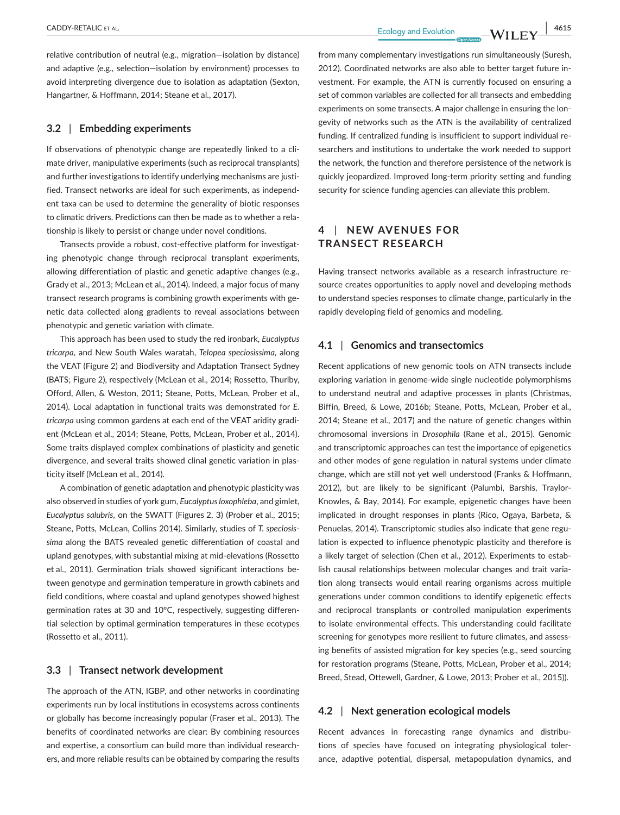**|** CADDY-RETALIC et al. **4615**

relative contribution of neutral (e.g., migration—isolation by distance) and adaptive (e.g., selection—isolation by environment) processes to avoid interpreting divergence due to isolation as adaptation (Sexton, Hangartner, & Hoffmann, 2014; Steane et al., 2017).

## **3.2** | **Embedding experiments**

If observations of phenotypic change are repeatedly linked to a climate driver, manipulative experiments (such as reciprocal transplants) and further investigations to identify underlying mechanisms are justified. Transect networks are ideal for such experiments, as independent taxa can be used to determine the generality of biotic responses to climatic drivers. Predictions can then be made as to whether a relationship is likely to persist or change under novel conditions.

Transects provide a robust, cost-effective platform for investigating phenotypic change through reciprocal transplant experiments, allowing differentiation of plastic and genetic adaptive changes (e.g., Grady et al., 2013; McLean et al., 2014). Indeed, a major focus of many transect research programs is combining growth experiments with genetic data collected along gradients to reveal associations between phenotypic and genetic variation with climate.

This approach has been used to study the red ironbark, *Eucalyptus tricarpa*, and New South Wales waratah, *Telopea speciosissima,* along the VEAT (Figure 2) and Biodiversity and Adaptation Transect Sydney (BATS; Figure 2), respectively (McLean et al., 2014; Rossetto, Thurlby, Offord, Allen, & Weston, 2011; Steane, Potts, McLean, Prober et al., 2014). Local adaptation in functional traits was demonstrated for *E. tricarpa* using common gardens at each end of the VEAT aridity gradient (McLean et al., 2014; Steane, Potts, McLean, Prober et al., 2014). Some traits displayed complex combinations of plasticity and genetic divergence, and several traits showed clinal genetic variation in plasticity itself (McLean et al., 2014).

A combination of genetic adaptation and phenotypic plasticity was also observed in studies of york gum, *Eucalyptus loxophleba*, and gimlet, *Eucalyptus salubris*, on the SWATT (Figures 2, 3) (Prober et al., 2015; Steane, Potts, McLean, Collins 2014). Similarly, studies of *T. speciosissima* along the BATS revealed genetic differentiation of coastal and upland genotypes, with substantial mixing at mid-elevations (Rossetto et al., 2011). Germination trials showed significant interactions between genotype and germination temperature in growth cabinets and field conditions, where coastal and upland genotypes showed highest germination rates at 30 and 10°C, respectively, suggesting differential selection by optimal germination temperatures in these ecotypes (Rossetto et al., 2011).

## **3.3** | **Transect network development**

The approach of the ATN, IGBP, and other networks in coordinating experiments run by local institutions in ecosystems across continents or globally has become increasingly popular (Fraser et al., 2013). The benefits of coordinated networks are clear: By combining resources and expertise, a consortium can build more than individual researchers, and more reliable results can be obtained by comparing the results

from many complementary investigations run simultaneously (Suresh, 2012). Coordinated networks are also able to better target future investment. For example, the ATN is currently focused on ensuring a set of common variables are collected for all transects and embedding experiments on some transects. A major challenge in ensuring the longevity of networks such as the ATN is the availability of centralized funding. If centralized funding is insufficient to support individual researchers and institutions to undertake the work needed to support the network, the function and therefore persistence of the network is quickly jeopardized. Improved long-term priority setting and funding security for science funding agencies can alleviate this problem.

# **4** | **NEW AVENUES FOR TRANSECT RESEARCH**

Having transect networks available as a research infrastructure resource creates opportunities to apply novel and developing methods to understand species responses to climate change, particularly in the rapidly developing field of genomics and modeling.

## **4.1** | **Genomics and transectomics**

Recent applications of new genomic tools on ATN transects include exploring variation in genome-wide single nucleotide polymorphisms to understand neutral and adaptive processes in plants (Christmas, Biffin, Breed, & Lowe, 2016b; Steane, Potts, McLean, Prober et al., 2014; Steane et al., 2017) and the nature of genetic changes within chromosomal inversions in *Drosophila* (Rane et al., 2015). Genomic and transcriptomic approaches can test the importance of epigenetics and other modes of gene regulation in natural systems under climate change, which are still not yet well understood (Franks & Hoffmann, 2012), but are likely to be significant (Palumbi, Barshis, Traylor-Knowles, & Bay, 2014). For example, epigenetic changes have been implicated in drought responses in plants (Rico, Ogaya, Barbeta, & Penuelas, 2014). Transcriptomic studies also indicate that gene regulation is expected to influence phenotypic plasticity and therefore is a likely target of selection (Chen et al., 2012). Experiments to establish causal relationships between molecular changes and trait variation along transects would entail rearing organisms across multiple generations under common conditions to identify epigenetic effects and reciprocal transplants or controlled manipulation experiments to isolate environmental effects. This understanding could facilitate screening for genotypes more resilient to future climates, and assessing benefits of assisted migration for key species (e.g., seed sourcing for restoration programs (Steane, Potts, McLean, Prober et al., 2014; Breed, Stead, Ottewell, Gardner, & Lowe, 2013; Prober et al., 2015)).

## **4.2** | **Next generation ecological models**

Recent advances in forecasting range dynamics and distributions of species have focused on integrating physiological tolerance, adaptive potential, dispersal, metapopulation dynamics, and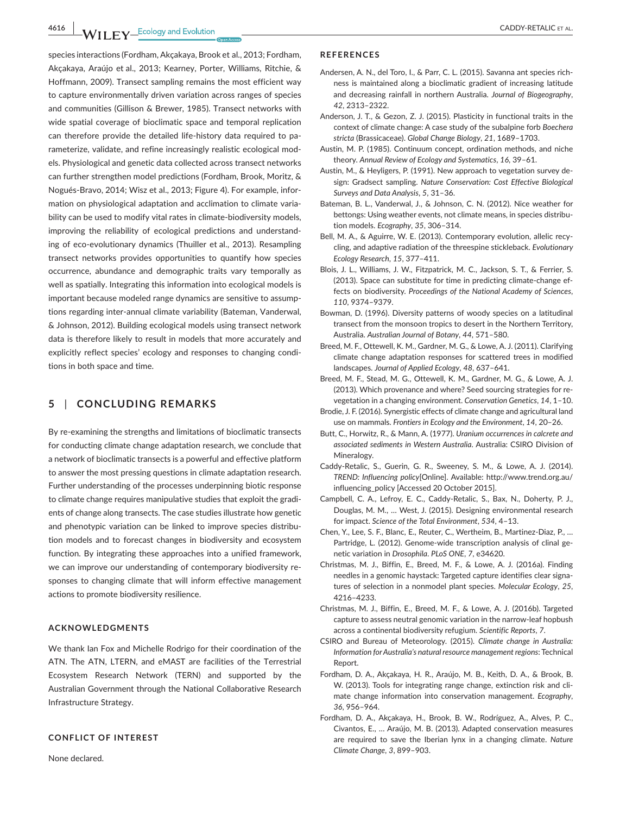**4616 WII FY** Ecology and Evolution **and Experiment CADDY-RETALIC ET AL.** 

species interactions (Fordham, Akçakaya, Brook et al., 2013; Fordham, Akçakaya, Araújo et al., 2013; Kearney, Porter, Williams, Ritchie, & Hoffmann, 2009). Transect sampling remains the most efficient way to capture environmentally driven variation across ranges of species and communities (Gillison & Brewer, 1985). Transect networks with wide spatial coverage of bioclimatic space and temporal replication can therefore provide the detailed life-history data required to parameterize, validate, and refine increasingly realistic ecological models. Physiological and genetic data collected across transect networks can further strengthen model predictions (Fordham, Brook, Moritz, & Nogués-Bravo, 2014; Wisz et al., 2013; Figure 4). For example, information on physiological adaptation and acclimation to climate variability can be used to modify vital rates in climate-biodiversity models, improving the reliability of ecological predictions and understanding of eco-evolutionary dynamics (Thuiller et al., 2013). Resampling transect networks provides opportunities to quantify how species occurrence, abundance and demographic traits vary temporally as well as spatially. Integrating this information into ecological models is important because modeled range dynamics are sensitive to assumptions regarding inter-annual climate variability (Bateman, Vanderwal, & Johnson, 2012). Building ecological models using transect network data is therefore likely to result in models that more accurately and explicitly reflect species' ecology and responses to changing conditions in both space and time.

## **5** | **CONCLUDING REMARKS**

By re-examining the strengths and limitations of bioclimatic transects for conducting climate change adaptation research, we conclude that a network of bioclimatic transects is a powerful and effective platform to answer the most pressing questions in climate adaptation research. Further understanding of the processes underpinning biotic response to climate change requires manipulative studies that exploit the gradients of change along transects. The case studies illustrate how genetic and phenotypic variation can be linked to improve species distribution models and to forecast changes in biodiversity and ecosystem function. By integrating these approaches into a unified framework, we can improve our understanding of contemporary biodiversity responses to changing climate that will inform effective management actions to promote biodiversity resilience.

### **ACKNOWLEDGMENTS**

We thank Ian Fox and Michelle Rodrigo for their coordination of the ATN. The ATN, LTERN, and eMAST are facilities of the Terrestrial Ecosystem Research Network (TERN) and supported by the Australian Government through the National Collaborative Research Infrastructure Strategy.

#### **CONFLICT OF INTEREST**

None declared.

#### **REFERENCES**

- Andersen, A. N., del Toro, I., & Parr, C. L. (2015). Savanna ant species richness is maintained along a bioclimatic gradient of increasing latitude and decreasing rainfall in northern Australia. *Journal of Biogeography*, *42*, 2313–2322.
- Anderson, J. T., & Gezon, Z. J. (2015). Plasticity in functional traits in the context of climate change: A case study of the subalpine forb *Boechera stricta* (Brassicaceae). *Global Change Biology*, *21*, 1689–1703.
- Austin, M. P. (1985). Continuum concept, ordination methods, and niche theory. *Annual Review of Ecology and Systematics*, *16*, 39–61.
- Austin, M., & Heyligers, P. (1991). New approach to vegetation survey design: Gradsect sampling. *Nature Conservation: Cost Effective Biological Surveys and Data Analysis*, *5*, 31–36.
- Bateman, B. L., Vanderwal, J., & Johnson, C. N. (2012). Nice weather for bettongs: Using weather events, not climate means, in species distribution models. *Ecography*, *35*, 306–314.
- Bell, M. A., & Aguirre, W. E. (2013). Contemporary evolution, allelic recycling, and adaptive radiation of the threespine stickleback. *Evolutionary Ecology Research*, *15*, 377–411.
- Blois, J. L., Williams, J. W., Fitzpatrick, M. C., Jackson, S. T., & Ferrier, S. (2013). Space can substitute for time in predicting climate-change effects on biodiversity. *Proceedings of the National Academy of Sciences*, *110*, 9374–9379.
- Bowman, D. (1996). Diversity patterns of woody species on a latitudinal transect from the monsoon tropics to desert in the Northern Territory, Australia. *Australian Journal of Botany*, *44*, 571–580.
- Breed, M. F., Ottewell, K. M., Gardner, M. G., & Lowe, A. J. (2011). Clarifying climate change adaptation responses for scattered trees in modified landscapes. *Journal of Applied Ecology*, *48*, 637–641.
- Breed, M. F., Stead, M. G., Ottewell, K. M., Gardner, M. G., & Lowe, A. J. (2013). Which provenance and where? Seed sourcing strategies for revegetation in a changing environment. *Conservation Genetics*, *14*, 1–10.
- Brodie, J. F. (2016). Synergistic effects of climate change and agricultural land use on mammals. *Frontiers in Ecology and the Environment*, *14*, 20–26.
- Butt, C., Horwitz, R., & Mann, A. (1977). *Uranium occurrences in calcrete and associated sediments in Western Australia*. Australia: CSIRO Division of Mineralogy.
- Caddy-Retalic, S., Guerin, G. R., Sweeney, S. M., & Lowe, A. J. (2014). *TREND: Influencing policy*[Online]. Available: [http://www.trend.org.au/](http://www.trend.org.au/influencing_policy) [influencing\\_policy](http://www.trend.org.au/influencing_policy) [Accessed 20 October 2015].
- Campbell, C. A., Lefroy, E. C., Caddy-Retalic, S., Bax, N., Doherty, P. J., Douglas, M. M., … West, J. (2015). Designing environmental research for impact. *Science of the Total Environment*, *534*, 4–13.
- Chen, Y., Lee, S. F., Blanc, E., Reuter, C., Wertheim, B., Martinez-Diaz, P., … Partridge, L. (2012). Genome-wide transcription analysis of clinal genetic variation in *Drosophila*. *PLoS ONE*, *7*, e34620.
- Christmas, M. J., Biffin, E., Breed, M. F., & Lowe, A. J. (2016a). Finding needles in a genomic haystack: Targeted capture identifies clear signatures of selection in a nonmodel plant species. *Molecular Ecology*, *25*, 4216–4233.
- Christmas, M. J., Biffin, E., Breed, M. F., & Lowe, A. J. (2016b). Targeted capture to assess neutral genomic variation in the narrow-leaf hopbush across a continental biodiversity refugium. *Scientific Reports*, *7*.
- CSIRO and Bureau of Meteorology. (2015). *Climate change in Australia: Information for Australia's natural resource management regions*: Technical Report.
- Fordham, D. A., Akçakaya, H. R., Araújo, M. B., Keith, D. A., & Brook, B. W. (2013). Tools for integrating range change, extinction risk and climate change information into conservation management. *Ecography*, *36*, 956–964.
- Fordham, D. A., Akçakaya, H., Brook, B. W., Rodríguez, A., Alves, P. C., Civantos, E., … Araújo, M. B. (2013). Adapted conservation measures are required to save the Iberian lynx in a changing climate. *Nature Climate Change*, *3*, 899–903.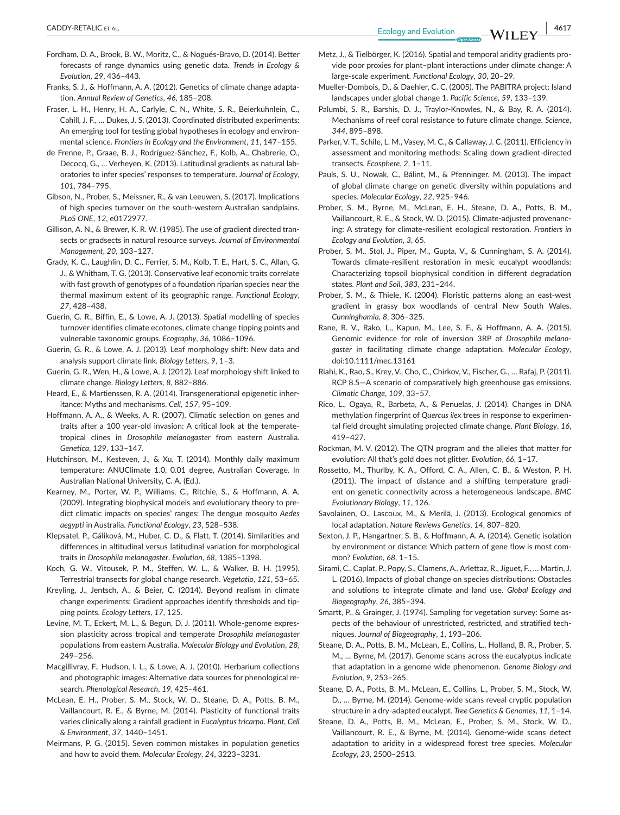**|** CADDY-RETALIC et al. **4617**

- Fordham, D. A., Brook, B. W., Moritz, C., & Nogués-Bravo, D. (2014). Better forecasts of range dynamics using genetic data. *Trends in Ecology & Evolution*, *29*, 436–443.
- Franks, S. J., & Hoffmann, A. A. (2012). Genetics of climate change adaptation. *Annual Review of Genetics*, *46*, 185–208.
- Fraser, L. H., Henry, H. A., Carlyle, C. N., White, S. R., Beierkuhnlein, C., Cahill, J. F., … Dukes, J. S. (2013). Coordinated distributed experiments: An emerging tool for testing global hypotheses in ecology and environmental science. *Frontiers in Ecology and the Environment*, *11*, 147–155.
- de Frenne, P., Graae, B. J., Rodríguez-Sánchez, F., Kolb, A., Chabrerie, O., Decocq, G., … Verheyen, K. (2013). Latitudinal gradients as natural laboratories to infer species' responses to temperature. *Journal of Ecology*, *101*, 784–795.
- Gibson, N., Prober, S., Meissner, R., & van Leeuwen, S. (2017). Implications of high species turnover on the south-western Australian sandplains. *PLoS ONE*, *12*, e0172977.
- Gillison, A. N., & Brewer, K. R. W. (1985). The use of gradient directed transects or gradsects in natural resource surveys. *Journal of Environmental Management*, *20*, 103–127.
- Grady, K. C., Laughlin, D. C., Ferrier, S. M., Kolb, T. E., Hart, S. C., Allan, G. J., & Whitham, T. G. (2013). Conservative leaf economic traits correlate with fast growth of genotypes of a foundation riparian species near the thermal maximum extent of its geographic range. *Functional Ecology*, *27*, 428–438.
- Guerin, G. R., Biffin, E., & Lowe, A. J. (2013). Spatial modelling of species turnover identifies climate ecotones, climate change tipping points and vulnerable taxonomic groups. *Ecography*, *36*, 1086–1096.
- Guerin, G. R., & Lowe, A. J. (2013). Leaf morphology shift: New data and analysis support climate link. *Biology Letters*, *9*, 1–3.
- Guerin, G. R., Wen, H., & Lowe, A. J. (2012). Leaf morphology shift linked to climate change. *Biology Letters*, *8*, 882–886.
- Heard, E., & Martienssen, R. A. (2014). Transgenerational epigenetic inheritance: Myths and mechanisms. *Cell*, *157*, 95–109.
- Hoffmann, A. A., & Weeks, A. R. (2007). Climatic selection on genes and traits after a 100 year-old invasion: A critical look at the temperatetropical clines in *Drosophila melanogaster* from eastern Australia. *Genetica*, *129*, 133–147.
- Hutchinson, M., Kesteven, J., & Xu, T. (2014). Monthly daily maximum temperature: ANUClimate 1.0, 0.01 degree, Australian Coverage. In Australian National University, C. A. (Ed.).
- Kearney, M., Porter, W. P., Williams, C., Ritchie, S., & Hoffmann, A. A. (2009). Integrating biophysical models and evolutionary theory to predict climatic impacts on species' ranges: The dengue mosquito *Aedes aegypti* in Australia. *Functional Ecology*, *23*, 528–538.
- Klepsatel, P., Gáliková, M., Huber, C. D., & Flatt, T. (2014). Similarities and differences in altitudinal versus latitudinal variation for morphological traits in *Drosophila melanogaster*. *Evolution*, *68*, 1385–1398.
- Koch, G. W., Vitousek, P. M., Steffen, W. L., & Walker, B. H. (1995). Terrestrial transects for global change research. *Vegetatio*, *121*, 53–65.
- Kreyling, J., Jentsch, A., & Beier, C. (2014). Beyond realism in climate change experiments: Gradient approaches identify thresholds and tipping points. *Ecology Letters*, *17*, 125.
- Levine, M. T., Eckert, M. L., & Begun, D. J. (2011). Whole-genome expression plasticity across tropical and temperate *Drosophila melanogaster* populations from eastern Australia. *Molecular Biology and Evolution*, *28*, 249–256.
- Macgillivray, F., Hudson, I. L., & Lowe, A. J. (2010). Herbarium collections and photographic images: Alternative data sources for phenological research. *Phenological Research*, *19*, 425–461.
- McLean, E. H., Prober, S. M., Stock, W. D., Steane, D. A., Potts, B. M., Vaillancourt, R. E., & Byrne, M. (2014). Plasticity of functional traits varies clinically along a rainfall gradient in *Eucalyptus tricarpa*. *Plant, Cell & Environment*, *37*, 1440–1451.
- Meirmans, P. G. (2015). Seven common mistakes in population genetics and how to avoid them. *Molecular Ecology*, *24*, 3223–3231.
- Metz, J., & Tielbörger, K. (2016). Spatial and temporal aridity gradients provide poor proxies for plant–plant interactions under climate change: A large-scale experiment. *Functional Ecology*, *30*, 20–29.
- Mueller-Dombois, D., & Daehler, C. C. (2005). The PABITRA project: Island landscapes under global change 1. *Pacific Science*, *59*, 133–139.
- Palumbi, S. R., Barshis, D. J., Traylor-Knowles, N., & Bay, R. A. (2014). Mechanisms of reef coral resistance to future climate change. *Science*, *344*, 895–898.
- Parker, V. T., Schile, L. M., Vasey, M. C., & Callaway, J. C. (2011). Efficiency in assessment and monitoring methods: Scaling down gradient-directed transects. *Ecosphere*, *2*, 1–11.
- Pauls, S. U., Nowak, C., Bálint, M., & Pfenninger, M. (2013). The impact of global climate change on genetic diversity within populations and species. *Molecular Ecology*, *22*, 925–946.
- Prober, S. M., Byrne, M., McLean, E. H., Steane, D. A., Potts, B. M., Vaillancourt, R. E., & Stock, W. D. (2015). Climate-adjusted provenancing: A strategy for climate-resilient ecological restoration. *Frontiers in Ecology and Evolution*, *3*, 65.
- Prober, S. M., Stol, J., Piper, M., Gupta, V., & Cunningham, S. A. (2014). Towards climate-resilient restoration in mesic eucalypt woodlands: Characterizing topsoil biophysical condition in different degradation states. *Plant and Soil*, *383*, 231–244.
- Prober, S. M., & Thiele, K. (2004). Floristic patterns along an east-west gradient in grassy box woodlands of central New South Wales. *Cunninghamia*, *8*, 306–325.
- Rane, R. V., Rako, L., Kapun, M., Lee, S. F., & Hoffmann, A. A. (2015). Genomic evidence for role of inversion 3RP of *Drosophila melanogaster* in facilitating climate change adaptation. *Molecular Ecology*, doi[:10.1111/mec.13161](https://doi.org/10.1111/mec.13161)
- Riahi, K., Rao, S., Krey, V., Cho, C., Chirkov, V., Fischer, G., … Rafaj, P. (2011). RCP 8.5—A scenario of comparatively high greenhouse gas emissions. *Climatic Change*, *109*, 33–57.
- Rico, L., Ogaya, R., Barbeta, A., & Penuelas, J. (2014). Changes in DNA methylation fingerprint of *Quercus ilex* trees in response to experimental field drought simulating projected climate change. *Plant Biology*, *16*, 419–427.
- Rockman, M. V. (2012). The QTN program and the alleles that matter for evolution: All that's gold does not glitter. *Evolution*, *66*, 1–17.
- Rossetto, M., Thurlby, K. A., Offord, C. A., Allen, C. B., & Weston, P. H. (2011). The impact of distance and a shifting temperature gradient on genetic connectivity across a heterogeneous landscape. *BMC Evolutionary Biology*, *11*, 126.
- Savolainen, O., Lascoux, M., & Merilä, J. (2013). Ecological genomics of local adaptation. *Nature Reviews Genetics*, *14*, 807–820.
- Sexton, J. P., Hangartner, S. B., & Hoffmann, A. A. (2014). Genetic isolation by environment or distance: Which pattern of gene flow is most common? *Evolution*, *68*, 1–15.
- Sirami, C., Caplat, P., Popy, S., Clamens, A., Arlettaz, R., Jiguet, F., … Martin, J. L. (2016). Impacts of global change on species distributions: Obstacles and solutions to integrate climate and land use. *Global Ecology and Biogeography*, *26*, 385–394.
- Smartt, P., & Grainger, J. (1974). Sampling for vegetation survey: Some aspects of the behaviour of unrestricted, restricted, and stratified techniques. *Journal of Biogeography*, *1*, 193–206.
- Steane, D. A., Potts, B. M., McLean, E., Collins, L., Holland, B. R., Prober, S. M., … Byrne, M. (2017). Genome scans across the eucalyptus indicate that adaptation in a genome wide phenomenon. *Genome Biology and Evolution*, *9*, 253–265.
- Steane, D. A., Potts, B. M., McLean, E., Collins, L., Prober, S. M., Stock, W. D., … Byrne, M. (2014). Genome-wide scans reveal cryptic population structure in a dry-adapted eucalypt. *Tree Genetics & Genomes*, *11*, 1–14.
- Steane, D. A., Potts, B. M., McLean, E., Prober, S. M., Stock, W. D., Vaillancourt, R. E., & Byrne, M. (2014). Genome-wide scans detect adaptation to aridity in a widespread forest tree species. *Molecular Ecology*, *23*, 2500–2513.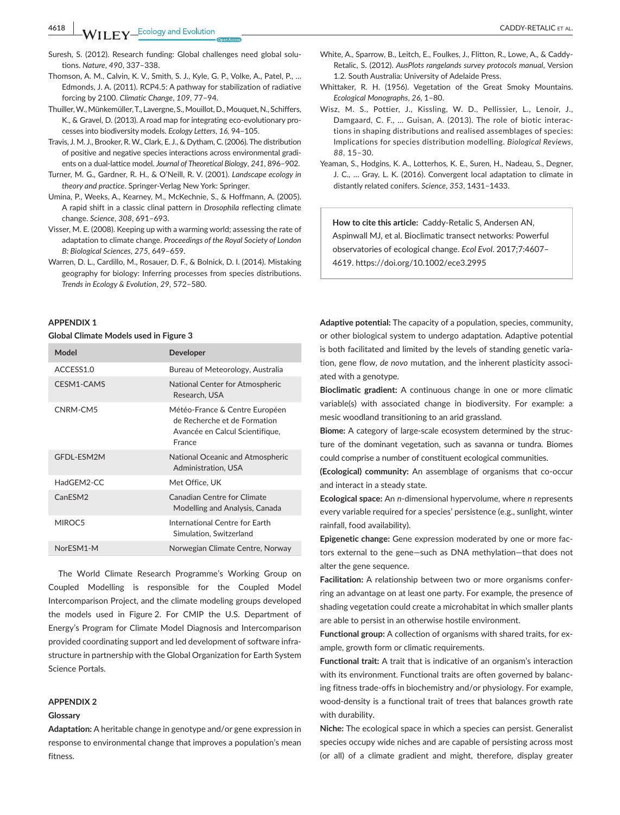**4618 WII FY** Ecology and Evolution **and Experiment CADDY-RETALIC ET AL.** 

- Suresh, S. (2012). Research funding: Global challenges need global solutions. *Nature*, *490*, 337–338.
- Thomson, A. M., Calvin, K. V., Smith, S. J., Kyle, G. P., Volke, A., Patel, P., … Edmonds, J. A. (2011). RCP4.5: A pathway for stabilization of radiative forcing by 2100. *Climatic Change*, *109*, 77–94.
- Thuiller,W.,Münkemüller,T., Lavergne, S.,Mouillot,D.,Mouquet,N., Schiffers, K., & Gravel, D. (2013). A road map for integrating eco-evolutionary processes into biodiversity models. *Ecology Letters*, *16*, 94–105.
- Travis, J. M. J., Brooker, R.W., Clark, E. J., & Dytham, C. (2006). The distribution of positive and negative species interactions across environmental gradients on a dual-lattice model. *Journal of Theoretical Biology*, *241*, 896–902.
- Turner, M. G., Gardner, R. H., & O'Neill, R. V. (2001). *Landscape ecology in theory and practice*. Springer-Verlag New York: Springer.
- Umina, P., Weeks, A., Kearney, M., McKechnie, S., & Hoffmann, A. (2005). A rapid shift in a classic clinal pattern in *Drosophila* reflecting climate change. *Science*, *308*, 691–693.
- Visser, M. E. (2008). Keeping up with a warming world; assessing the rate of adaptation to climate change. *Proceedings of the Royal Society of London B: Biological Sciences*, *275*, 649–659.
- Warren, D. L., Cardillo, M., Rosauer, D. F., & Bolnick, D. I. (2014). Mistaking geography for biology: Inferring processes from species distributions. *Trends in Ecology & Evolution*, *29*, 572–580.

#### **APPENDIX 1**

#### **Global Climate Models used in Figure 3**

| Model               | <b>Developer</b>                                                                                            |
|---------------------|-------------------------------------------------------------------------------------------------------------|
| ACCESS1.0           | Bureau of Meteorology, Australia                                                                            |
| CESM1-CAMS          | National Center for Atmospheric<br>Research, USA                                                            |
| CNRM-CM5            | Météo-France & Centre Européen<br>de Recherche et de Formation<br>Avancée en Calcul Scientifique,<br>France |
| GFDL-ESM2M          | National Oceanic and Atmospheric<br>Administration, USA                                                     |
| HadGEM2-CC          | Met Office, UK                                                                                              |
| CanESM <sub>2</sub> | Canadian Centre for Climate<br>Modelling and Analysis, Canada                                               |
| MIROC5              | International Centre for Farth<br>Simulation, Switzerland                                                   |
| NorESM1-M           | Norwegian Climate Centre, Norway                                                                            |

The World Climate Research Programme's Working Group on Coupled Modelling is responsible for the Coupled Model Intercomparison Project, and the climate modeling groups developed the models used in Figure 2. For CMIP the U.S. Department of Energy's Program for Climate Model Diagnosis and Intercomparison provided coordinating support and led development of software infrastructure in partnership with the Global Organization for Earth System Science Portals.

#### **APPENDIX 2**

#### **Glossary**

**Adaptation:** A heritable change in genotype and/or gene expression in response to environmental change that improves a population's mean fitness.

- White, A., Sparrow, B., Leitch, E., Foulkes, J., Flitton, R., Lowe, A., & Caddy-Retalic, S. (2012). *AusPlots rangelands survey protocols manual*, Version 1.2. South Australia: University of Adelaide Press.
- Whittaker, R. H. (1956). Vegetation of the Great Smoky Mountains. *Ecological Monographs*, *26*, 1–80.
- Wisz, M. S., Pottier, J., Kissling, W. D., Pellissier, L., Lenoir, J., Damgaard, C. F., … Guisan, A. (2013). The role of biotic interactions in shaping distributions and realised assemblages of species: Implications for species distribution modelling. *Biological Reviews*, *88*, 15–30.
- Yeaman, S., Hodgins, K. A., Lotterhos, K. E., Suren, H., Nadeau, S., Degner, J. C., … Gray, L. K. (2016). Convergent local adaptation to climate in distantly related conifers. *Science*, *353*, 1431–1433.

**How to cite this article:** Caddy-Retalic S, Andersen AN, Aspinwall MJ, et al. Bioclimatic transect networks: Powerful observatories of ecological change. *Ecol Evol*. 2017;7:4607– 4619. <https://doi.org/10.1002/ece3.2995>

**Adaptive potential:** The capacity of a population, species, community, or other biological system to undergo adaptation. Adaptive potential is both facilitated and limited by the levels of standing genetic variation, gene flow, *de novo* mutation, and the inherent plasticity associated with a genotype.

**Bioclimatic gradient:** A continuous change in one or more climatic variable(s) with associated change in biodiversity. For example: a mesic woodland transitioning to an arid grassland.

**Biome:** A category of large-scale ecosystem determined by the structure of the dominant vegetation, such as savanna or tundra. Biomes could comprise a number of constituent ecological communities.

**(Ecological) community:** An assemblage of organisms that co-occur and interact in a steady state.

**Ecological space:** An *n*-dimensional hypervolume, where *n* represents every variable required for a species' persistence (e.g., sunlight, winter rainfall, food availability).

**Epigenetic change:** Gene expression moderated by one or more factors external to the gene—such as DNA methylation—that does not alter the gene sequence.

**Facilitation:** A relationship between two or more organisms conferring an advantage on at least one party. For example, the presence of shading vegetation could create a microhabitat in which smaller plants are able to persist in an otherwise hostile environment.

**Functional group:** A collection of organisms with shared traits, for example, growth form or climatic requirements.

**Functional trait:** A trait that is indicative of an organism's interaction with its environment. Functional traits are often governed by balancing fitness trade-offs in biochemistry and/or physiology. For example, wood-density is a functional trait of trees that balances growth rate with durability.

**Niche:** The ecological space in which a species can persist. Generalist species occupy wide niches and are capable of persisting across most (or all) of a climate gradient and might, therefore, display greater